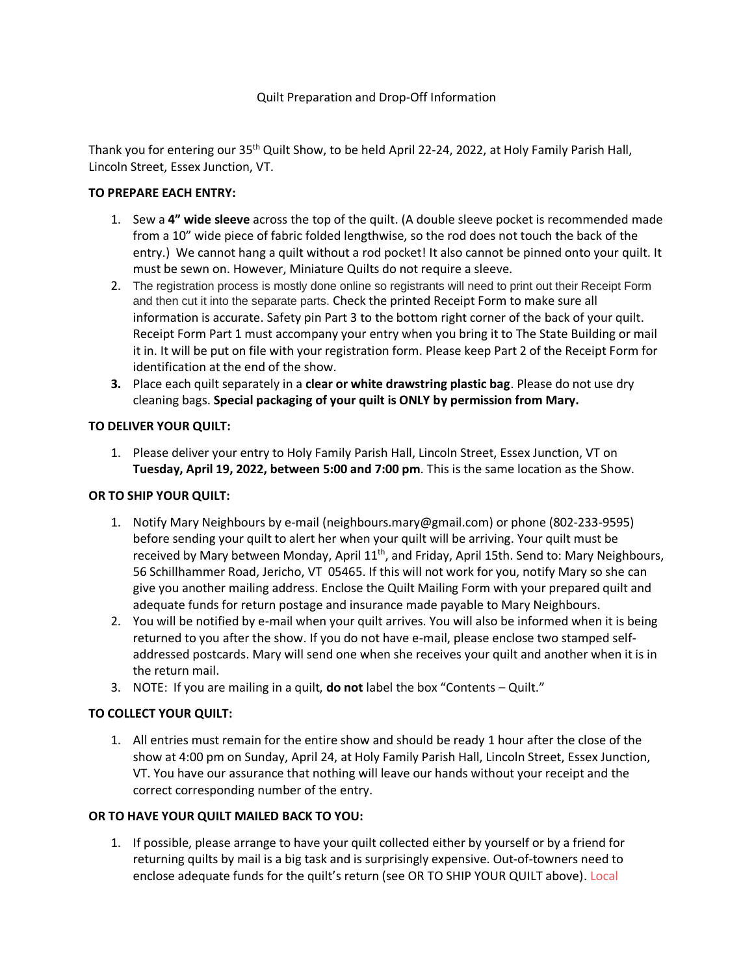Thank you for entering our 35<sup>th</sup> Quilt Show, to be held April 22-24, 2022, at Holy Family Parish Hall, Lincoln Street, Essex Junction, VT.

## **TO PREPARE EACH ENTRY:**

- 1. Sew a **4" wide sleeve** across the top of the quilt. (A double sleeve pocket is recommended made from a 10" wide piece of fabric folded lengthwise, so the rod does not touch the back of the entry.) We cannot hang a quilt without a rod pocket! It also cannot be pinned onto your quilt. It must be sewn on. However, Miniature Quilts do not require a sleeve.
- 2. The registration process is mostly done online so registrants will need to print out their Receipt Form and then cut it into the separate parts. Check the printed Receipt Form to make sure all information is accurate. Safety pin Part 3 to the bottom right corner of the back of your quilt. Receipt Form Part 1 must accompany your entry when you bring it to The State Building or mail it in. It will be put on file with your registration form. Please keep Part 2 of the Receipt Form for identification at the end of the show.
- **3.** Place each quilt separately in a **clear or white drawstring plastic bag**. Please do not use dry cleaning bags. **Special packaging of your quilt is ONLY by permission from Mary.**

### **TO DELIVER YOUR QUILT:**

1. Please deliver your entry to Holy Family Parish Hall, Lincoln Street, Essex Junction, VT on **Tuesday, April 19, 2022, between 5:00 and 7:00 pm**. This is the same location as the Show.

### **OR TO SHIP YOUR QUILT:**

- 1. Notify Mary Neighbours by e-mail (neighbours.mary@gmail.com) or phone (802-233-9595) before sending your quilt to alert her when your quilt will be arriving. Your quilt must be received by Mary between Monday, April 11<sup>th</sup>, and Friday, April 15th. Send to: Mary Neighbours, 56 Schillhammer Road, Jericho, VT 05465. If this will not work for you, notify Mary so she can give you another mailing address. Enclose the Quilt Mailing Form with your prepared quilt and adequate funds for return postage and insurance made payable to Mary Neighbours.
- 2. You will be notified by e-mail when your quilt arrives. You will also be informed when it is being returned to you after the show. If you do not have e-mail, please enclose two stamped selfaddressed postcards. Mary will send one when she receives your quilt and another when it is in the return mail.
- 3. NOTE: If you are mailing in a quilt, **do not** label the box "Contents Quilt."

# **TO COLLECT YOUR QUILT:**

1. All entries must remain for the entire show and should be ready 1 hour after the close of the show at 4:00 pm on Sunday, April 24, at Holy Family Parish Hall, Lincoln Street, Essex Junction, VT. You have our assurance that nothing will leave our hands without your receipt and the correct corresponding number of the entry.

### **OR TO HAVE YOUR QUILT MAILED BACK TO YOU:**

1. If possible, please arrange to have your quilt collected either by yourself or by a friend for returning quilts by mail is a big task and is surprisingly expensive. Out-of-towners need to enclose adequate funds for the quilt's return (see OR TO SHIP YOUR QUILT above). Local